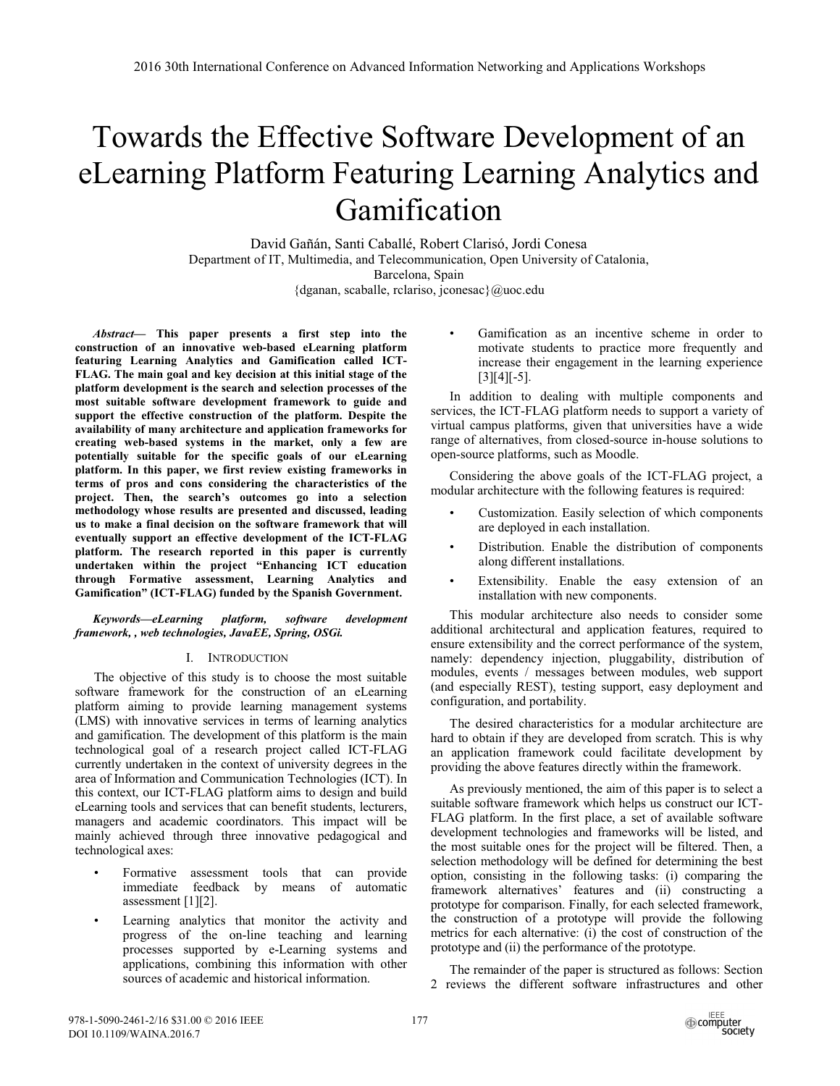# Towards the Effective Software Development of an eLearning Platform Featuring Learning Analytics and Gamification

David Gañán, Santi Caballé, Robert Clarisó, Jordi Conesa Department of IT, Multimedia, and Telecommunication, Open University of Catalonia, Barcelona, Spain {dganan, scaballe, rclariso, jconesac}@uoc.edu

*Abstract***— This paper presents a first step into the construction of an innovative web-based eLearning platform featuring Learning Analytics and Gamification called ICT-FLAG. The main goal and key decision at this initial stage of the platform development is the search and selection processes of the most suitable software development framework to guide and support the effective construction of the platform. Despite the availability of many architecture and application frameworks for creating web-based systems in the market, only a few are potentially suitable for the specific goals of our eLearning platform. In this paper, we first review existing frameworks in terms of pros and cons considering the characteristics of the project. Then, the search's outcomes go into a selection methodology whose results are presented and discussed, leading us to make a final decision on the software framework that will eventually support an effective development of the ICT-FLAG platform. The research reported in this paper is currently undertaken within the project "Enhancing ICT education through Formative assessment, Learning Analytics and Gamification" (ICT-FLAG) funded by the Spanish Government.** 

## *Keywords—eLearning platform, software development framework, , web technologies, JavaEE, Spring, OSGi.*

# I. INTRODUCTION

The objective of this study is to choose the most suitable software framework for the construction of an eLearning platform aiming to provide learning management systems (LMS) with innovative services in terms of learning analytics and gamification. The development of this platform is the main technological goal of a research project called ICT-FLAG currently undertaken in the context of university degrees in the area of Information and Communication Technologies (ICT). In this context, our ICT-FLAG platform aims to design and build eLearning tools and services that can benefit students, lecturers, managers and academic coordinators. This impact will be mainly achieved through three innovative pedagogical and technological axes:

- Formative assessment tools that can provide immediate feedback by means of automatic assessment [1][2].
- Learning analytics that monitor the activity and progress of the on-line teaching and learning processes supported by e-Learning systems and applications, combining this information with other sources of academic and historical information.

Gamification as an incentive scheme in order to motivate students to practice more frequently and increase their engagement in the learning experience  $[3][4][-5]$ .

In addition to dealing with multiple components and services, the ICT-FLAG platform needs to support a variety of virtual campus platforms, given that universities have a wide range of alternatives, from closed-source in-house solutions to open-source platforms, such as Moodle.

Considering the above goals of the ICT-FLAG project, a modular architecture with the following features is required:

- Customization. Easily selection of which components are deployed in each installation.
- Distribution. Enable the distribution of components along different installations.
- Extensibility. Enable the easy extension of an installation with new components.

This modular architecture also needs to consider some additional architectural and application features, required to ensure extensibility and the correct performance of the system, namely: dependency injection, pluggability, distribution of modules, events / messages between modules, web support (and especially REST), testing support, easy deployment and configuration, and portability.

The desired characteristics for a modular architecture are hard to obtain if they are developed from scratch. This is why an application framework could facilitate development by providing the above features directly within the framework.

As previously mentioned, the aim of this paper is to select a suitable software framework which helps us construct our ICT-FLAG platform. In the first place, a set of available software development technologies and frameworks will be listed, and the most suitable ones for the project will be filtered. Then, a selection methodology will be defined for determining the best option, consisting in the following tasks: (i) comparing the framework alternatives' features and (ii) constructing a prototype for comparison. Finally, for each selected framework, the construction of a prototype will provide the following metrics for each alternative: (i) the cost of construction of the prototype and (ii) the performance of the prototype.

The remainder of the paper is structured as follows: Section 2 reviews the different software infrastructures and other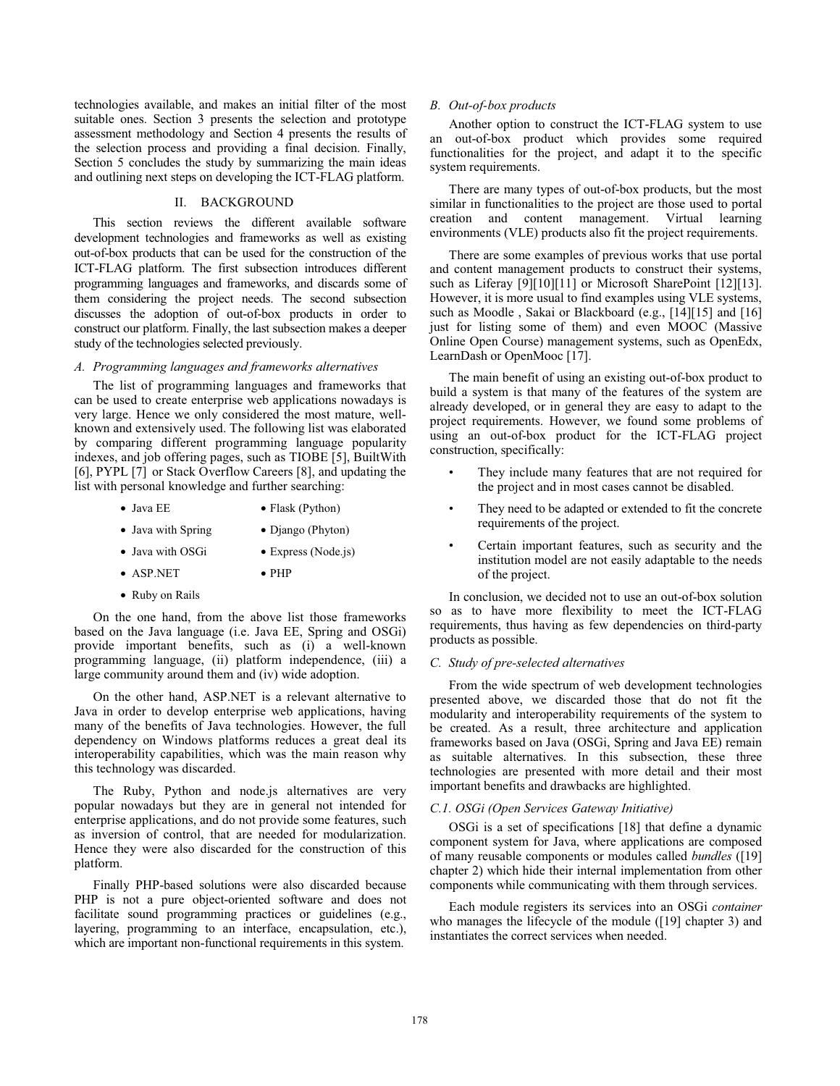technologies available, and makes an initial filter of the most suitable ones. Section 3 presents the selection and prototype assessment methodology and Section 4 presents the results of the selection process and providing a final decision. Finally, Section 5 concludes the study by summarizing the main ideas and outlining next steps on developing the ICT-FLAG platform.

## II. BACKGROUND

This section reviews the different available software development technologies and frameworks as well as existing out-of-box products that can be used for the construction of the ICT-FLAG platform. The first subsection introduces different programming languages and frameworks, and discards some of them considering the project needs. The second subsection discusses the adoption of out-of-box products in order to construct our platform. Finally, the last subsection makes a deeper study of the technologies selected previously.

#### *A. Programming languages and frameworks alternatives*

The list of programming languages and frameworks that can be used to create enterprise web applications nowadays is very large. Hence we only considered the most mature, wellknown and extensively used. The following list was elaborated by comparing different programming language popularity indexes, and job offering pages, such as TIOBE [5], BuiltWith [6], PYPL [7] or Stack Overflow Careers [8], and updating the list with personal knowledge and further searching:

- Java EE Flask (Python)
- Java with Spring Django (Phyton)
- Java with OSGi Express (Node.js)
- ASP.NET PHP
- Ruby on Rails

On the one hand, from the above list those frameworks based on the Java language (i.e. Java EE, Spring and OSGi) provide important benefits, such as (i) a well-known programming language, (ii) platform independence, (iii) a large community around them and (iv) wide adoption.

On the other hand, ASP.NET is a relevant alternative to Java in order to develop enterprise web applications, having many of the benefits of Java technologies. However, the full dependency on Windows platforms reduces a great deal its interoperability capabilities, which was the main reason why this technology was discarded.

The Ruby, Python and node.js alternatives are very popular nowadays but they are in general not intended for enterprise applications, and do not provide some features, such as inversion of control, that are needed for modularization. Hence they were also discarded for the construction of this platform.

Finally PHP-based solutions were also discarded because PHP is not a pure object-oriented software and does not facilitate sound programming practices or guidelines (e.g., layering, programming to an interface, encapsulation, etc.), which are important non-functional requirements in this system.

## *B. Out-of-box products*

Another option to construct the ICT-FLAG system to use an out-of-box product which provides some required functionalities for the project, and adapt it to the specific system requirements.

There are many types of out-of-box products, but the most similar in functionalities to the project are those used to portal creation and content management. Virtual learning environments (VLE) products also fit the project requirements.

There are some examples of previous works that use portal and content management products to construct their systems, such as Liferay [9][10][11] or Microsoft SharePoint [12][13]. However, it is more usual to find examples using VLE systems, such as Moodle , Sakai or Blackboard (e.g., [14][15] and [16] just for listing some of them) and even MOOC (Massive Online Open Course) management systems, such as OpenEdx, LearnDash or OpenMooc [17].

The main benefit of using an existing out-of-box product to build a system is that many of the features of the system are already developed, or in general they are easy to adapt to the project requirements. However, we found some problems of using an out-of-box product for the ICT-FLAG project construction, specifically:

- They include many features that are not required for the project and in most cases cannot be disabled.
- They need to be adapted or extended to fit the concrete requirements of the project.
- Certain important features, such as security and the institution model are not easily adaptable to the needs of the project.

In conclusion, we decided not to use an out-of-box solution so as to have more flexibility to meet the ICT-FLAG requirements, thus having as few dependencies on third-party products as possible.

## *C. Study of pre-selected alternatives*

From the wide spectrum of web development technologies presented above, we discarded those that do not fit the modularity and interoperability requirements of the system to be created. As a result, three architecture and application frameworks based on Java (OSGi, Spring and Java EE) remain as suitable alternatives. In this subsection, these three technologies are presented with more detail and their most important benefits and drawbacks are highlighted.

### *C.1. OSGi (Open Services Gateway Initiative)*

OSGi is a set of specifications [18] that define a dynamic component system for Java, where applications are composed of many reusable components or modules called *bundles* ([19] chapter 2) which hide their internal implementation from other components while communicating with them through services.

Each module registers its services into an OSGi *container*  who manages the lifecycle of the module ([19] chapter 3) and instantiates the correct services when needed.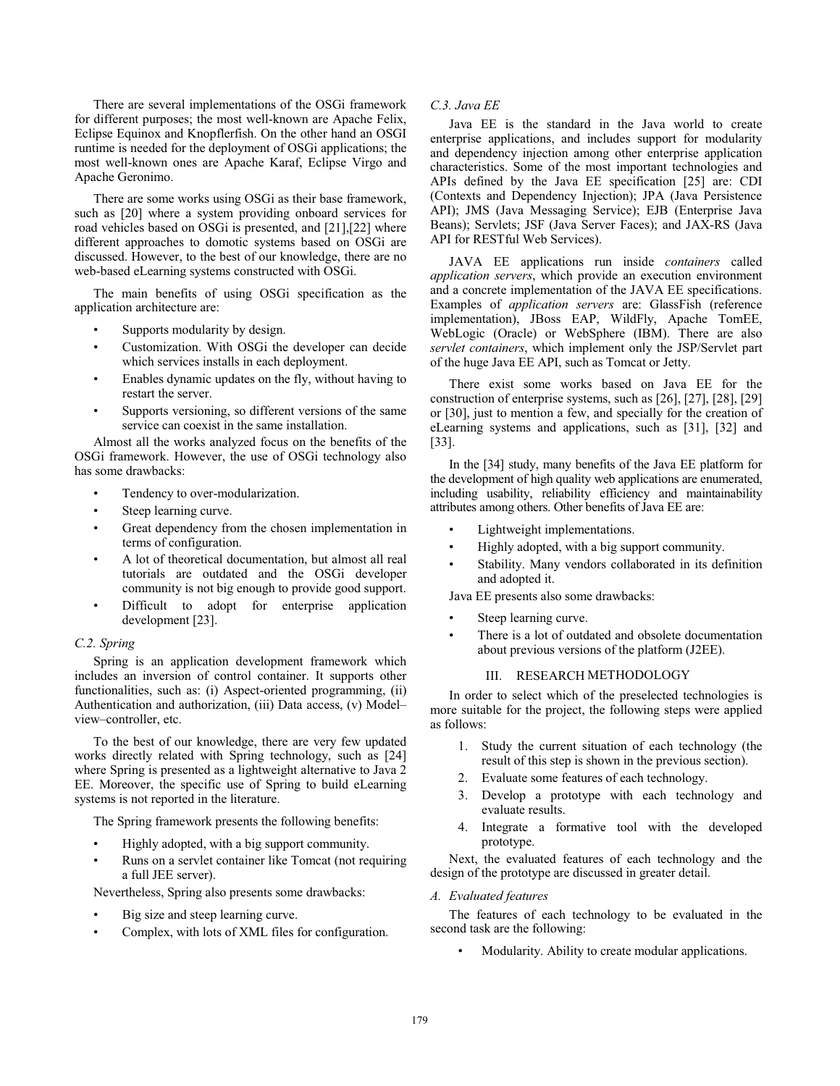There are several implementations of the OSGi framework for different purposes; the most well-known are Apache Felix, Eclipse Equinox and Knopflerfish. On the other hand an OSGI runtime is needed for the deployment of OSGi applications; the most well-known ones are Apache Karaf, Eclipse Virgo and Apache Geronimo.

There are some works using OSGi as their base framework, such as [20] where a system providing onboard services for road vehicles based on OSGi is presented, and [21],[22] where different approaches to domotic systems based on OSGi are discussed. However, to the best of our knowledge, there are no web-based eLearning systems constructed with OSGi.

The main benefits of using OSGi specification as the application architecture are:

- Supports modularity by design.
- Customization. With OSGi the developer can decide which services installs in each deployment.
- Enables dynamic updates on the fly, without having to restart the server.
- Supports versioning, so different versions of the same service can coexist in the same installation.

Almost all the works analyzed focus on the benefits of the OSGi framework. However, the use of OSGi technology also has some drawbacks:

- Tendency to over-modularization.
- Steep learning curve.
- Great dependency from the chosen implementation in terms of configuration.
- A lot of theoretical documentation, but almost all real tutorials are outdated and the OSGi developer community is not big enough to provide good support.
- Difficult to adopt for enterprise application development [23].

## *C.2. Spring*

 Spring is an application development framework which includes an inversion of control container. It supports other functionalities, such as: (i) Aspect-oriented programming, (ii) Authentication and authorization, (iii) Data access, (v) Model– view–controller, etc.

To the best of our knowledge, there are very few updated works directly related with Spring technology, such as [24] where Spring is presented as a lightweight alternative to Java 2 EE. Moreover, the specific use of Spring to build eLearning systems is not reported in the literature.

The Spring framework presents the following benefits:

- Highly adopted, with a big support community.
- Runs on a servlet container like Tomcat (not requiring a full JEE server).

Nevertheless, Spring also presents some drawbacks:

- Big size and steep learning curve.
- Complex, with lots of XML files for configuration.

# *C.3. Java EE*

Java EE is the standard in the Java world to create enterprise applications, and includes support for modularity and dependency injection among other enterprise application characteristics. Some of the most important technologies and APIs defined by the Java EE specification [25] are: CDI (Contexts and Dependency Injection); JPA (Java Persistence API); JMS (Java Messaging Service); EJB (Enterprise Java Beans); Servlets; JSF (Java Server Faces); and JAX-RS (Java API for RESTful Web Services).

JAVA EE applications run inside *containers* called *application servers*, which provide an execution environment and a concrete implementation of the JAVA EE specifications. Examples of *application servers* are: GlassFish (reference implementation), JBoss EAP, WildFly, Apache TomEE, WebLogic (Oracle) or WebSphere (IBM). There are also *servlet containers*, which implement only the JSP/Servlet part of the huge Java EE API, such as Tomcat or Jetty.

There exist some works based on Java EE for the construction of enterprise systems, such as [26], [27], [28], [29] or [30], just to mention a few, and specially for the creation of eLearning systems and applications, such as [31], [32] and [33].

In the [34] study, many benefits of the Java EE platform for the development of high quality web applications are enumerated, including usability, reliability efficiency and maintainability attributes among others. Other benefits of Java EE are:

- Lightweight implementations.
- Highly adopted, with a big support community.
- Stability. Many vendors collaborated in its definition and adopted it.

Java EE presents also some drawbacks:

- Steep learning curve.
- There is a lot of outdated and obsolete documentation about previous versions of the platform (J2EE).

#### III. RESEARCH METHODOLOGY

In order to select which of the preselected technologies is more suitable for the project, the following steps were applied as follows:

- 1. Study the current situation of each technology (the result of this step is shown in the previous section).
- 2. Evaluate some features of each technology.
- 3. Develop a prototype with each technology and evaluate results.
- 4. Integrate a formative tool with the developed prototype.

Next, the evaluated features of each technology and the design of the prototype are discussed in greater detail.

## *A. Evaluated features*

The features of each technology to be evaluated in the second task are the following:

• Modularity. Ability to create modular applications.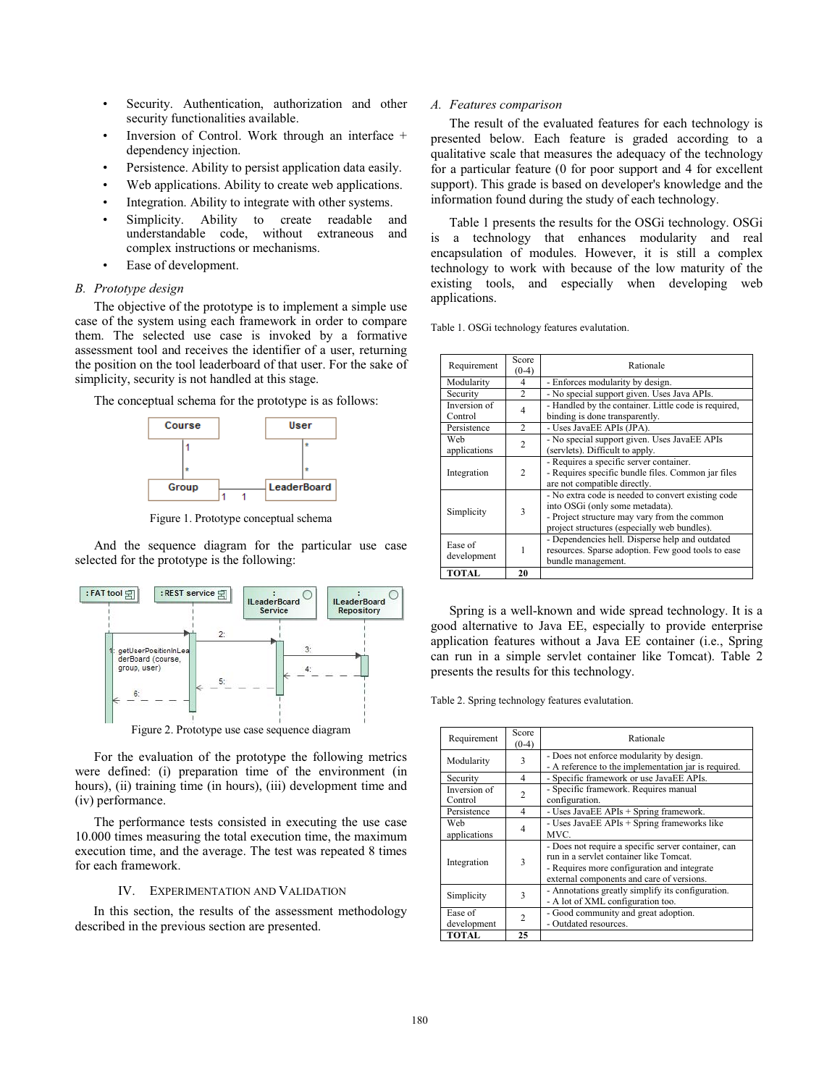- Security. Authentication, authorization and other security functionalities available.
- Inversion of Control. Work through an interface + dependency injection.
- Persistence. Ability to persist application data easily.
- Web applications. Ability to create web applications.
- Integration. Ability to integrate with other systems.
- Simplicity. Ability to create readable and understandable code, without extraneous and complex instructions or mechanisms.
- Ease of development.

#### *B. Prototype design*

 The objective of the prototype is to implement a simple use case of the system using each framework in order to compare them. The selected use case is invoked by a formative assessment tool and receives the identifier of a user, returning the position on the tool leaderboard of that user. For the sake of simplicity, security is not handled at this stage.

The conceptual schema for the prototype is as follows:



Figure 1. Prototype conceptual schema

And the sequence diagram for the particular use case selected for the prototype is the following:



Figure 2. Prototype use case sequence diagram

For the evaluation of the prototype the following metrics were defined: (i) preparation time of the environment (in hours), (ii) training time (in hours), (iii) development time and (iv) performance.

The performance tests consisted in executing the use case 10.000 times measuring the total execution time, the maximum execution time, and the average. The test was repeated 8 times for each framework.

## IV. EXPERIMENTATION AND VALIDATION

 In this section, the results of the assessment methodology described in the previous section are presented.

## *A. Features comparison*

 The result of the evaluated features for each technology is presented below. Each feature is graded according to a qualitative scale that measures the adequacy of the technology for a particular feature (0 for poor support and 4 for excellent support). This grade is based on developer's knowledge and the information found during the study of each technology.

 Table 1 presents the results for the OSGi technology. OSGi is a technology that enhances modularity and real encapsulation of modules. However, it is still a complex technology to work with because of the low maturity of the existing tools, and especially when developing web applications.

Table 1. OSGi technology features evalutation.

| Requirement             | Score<br>$(0-4)$ | Rationale                                                                                                                                                                             |  |  |
|-------------------------|------------------|---------------------------------------------------------------------------------------------------------------------------------------------------------------------------------------|--|--|
| Modularity              | 4                | - Enforces modularity by design.                                                                                                                                                      |  |  |
| Security                | $\mathfrak{D}$   | - No special support given. Uses Java APIs.                                                                                                                                           |  |  |
| Inversion of<br>Control | 4                | - Handled by the container. Little code is required,<br>binding is done transparently.                                                                                                |  |  |
| Persistence             | 2                | - Uses JavaEE APIs (JPA).                                                                                                                                                             |  |  |
| Web<br>applications     | $\mathfrak{D}$   | - No special support given. Uses JavaEE APIs<br>(servlets). Difficult to apply.                                                                                                       |  |  |
| Integration             | $\mathfrak{D}$   | - Requires a specific server container.<br>- Requires specific bundle files. Common jar files<br>are not compatible directly.                                                         |  |  |
| Simplicity              | 3                | - No extra code is needed to convert existing code<br>into OSGi (only some metadata).<br>- Project structure may vary from the common<br>project structures (especially web bundles). |  |  |
| Ease of<br>development  |                  | - Dependencies hell. Disperse help and outdated<br>resources. Sparse adoption. Few good tools to ease<br>bundle management.                                                           |  |  |
| <b>TOTAL</b>            | 20               |                                                                                                                                                                                       |  |  |

 Spring is a well-known and wide spread technology. It is a good alternative to Java EE, especially to provide enterprise application features without a Java EE container (i.e., Spring can run in a simple servlet container like Tomcat). Table 2 presents the results for this technology.

Table 2. Spring technology features evalutation.

| Requirement             | Score<br>$(0-4)$ | Rationale                                                                                                                                                                                  |  |  |
|-------------------------|------------------|--------------------------------------------------------------------------------------------------------------------------------------------------------------------------------------------|--|--|
| Modularity              | 3                | - Does not enforce modularity by design.<br>- A reference to the implementation jar is required.                                                                                           |  |  |
| Security                | 4                | - Specific framework or use JavaEE APIs.                                                                                                                                                   |  |  |
| Inversion of<br>Control | $\mathfrak{D}$   | - Specific framework. Requires manual<br>configuration.                                                                                                                                    |  |  |
| Persistence             | 4                | - Uses JavaEE APIs + Spring framework.                                                                                                                                                     |  |  |
| Web<br>applications     | 4                | - Uses JavaEE APIs + Spring frameworks like<br>MVC.                                                                                                                                        |  |  |
| Integration             | 3                | - Does not require a specific server container, can<br>run in a servlet container like Tomcat.<br>- Requires more configuration and integrate<br>external components and care of versions. |  |  |
| Simplicity              | 3                | - Annotations greatly simplify its configuration.<br>- A lot of XML configuration too.                                                                                                     |  |  |
| Ease of<br>development  | $\overline{c}$   | - Good community and great adoption.<br>- Outdated resources.                                                                                                                              |  |  |
| <b>TOTAL</b>            | 25               |                                                                                                                                                                                            |  |  |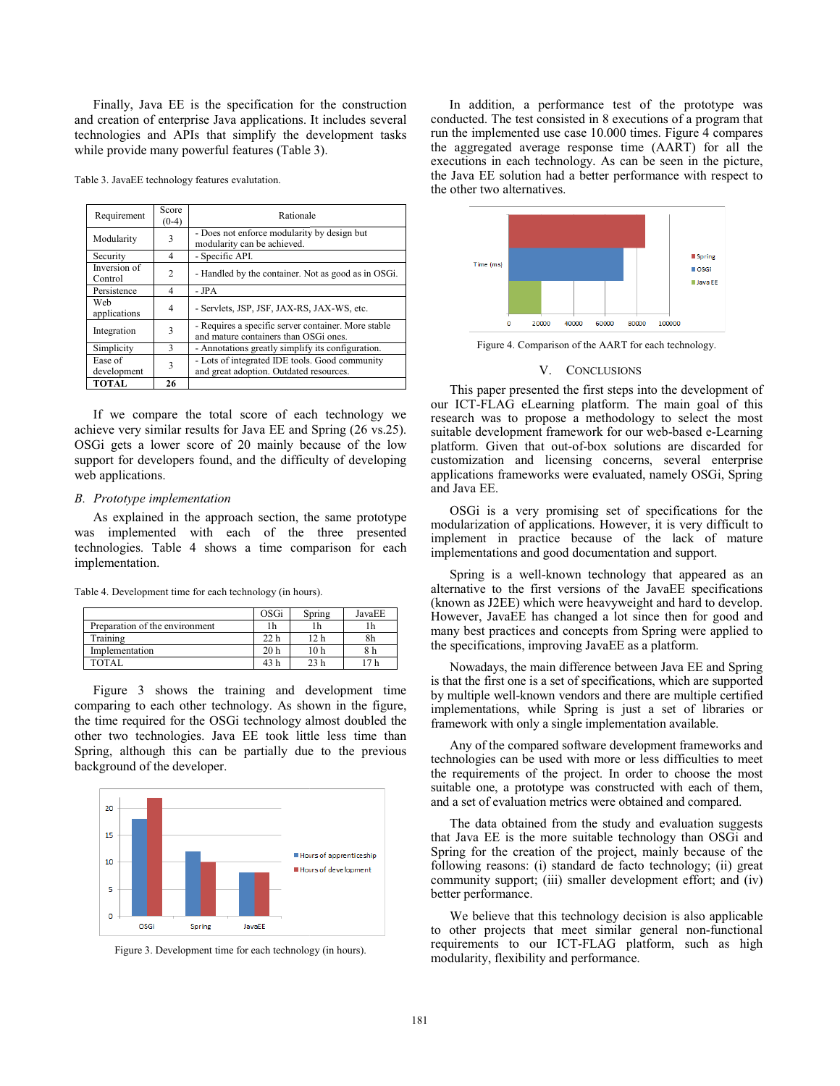Finally, Java EE is the specification fo r the construction and creation of enterprise Java applications. It includes several technologies and APIs that simplify the d development tasks while provide many powerful features (Table 3).

|  |  |  |  | Table 3. JavaEE technology features evalutation. |
|--|--|--|--|--------------------------------------------------|
|--|--|--|--|--------------------------------------------------|

| Requirement             | Score<br>$(0-4)$ | Rationale                                                                                    |  |  |
|-------------------------|------------------|----------------------------------------------------------------------------------------------|--|--|
| Modularity              | 3                | - Does not enforce modularity by design but<br>modularity can be achieved.                   |  |  |
| Security                | 4                | - Specific API.                                                                              |  |  |
| Inversion of<br>Control | $\mathfrak{D}$   | - Handled by the container. Not as good as in OSGi.                                          |  |  |
| Persistence             | 4                | - JPA                                                                                        |  |  |
| Web<br>applications     | 4                | - Servlets, JSP, JSF, JAX-RS, JAX-WS, etc.                                                   |  |  |
| Integration             | 3                | - Requires a specific server container. More stable<br>and mature containers than OSGi ones. |  |  |
| Simplicity              | 3                | - Annotations greatly simplify its configuration.                                            |  |  |
| Ease of                 | 3                | - Lots of integrated IDE tools. Good community                                               |  |  |
| development             |                  | and great adoption. Outdated resources.                                                      |  |  |
| <b>TOTAL</b>            | 26               |                                                                                              |  |  |

If we compare the total score of each technology we achieve very similar results for Java EE and Spring (26 vs.25). OSGi gets a lower score of 20 mainly because of the low support for developers found, and the difficulty of developing web applications.

#### *B. Prototype implementation*

 As explained in the approach section, th he same prototype was implemented with each of the three presented technologies. Table 4 shows a time comparison for each implementation.

| Table 4. Development time for each technology (in hours). |  |
|-----------------------------------------------------------|--|
|-----------------------------------------------------------|--|

|                                | OSGi            | Spring          | JavaEE |
|--------------------------------|-----------------|-----------------|--------|
| Preparation of the environment | 1h              |                 |        |
| Training                       | 22 <sub>h</sub> | 12 h            | 8h     |
| Implementation                 | 20 <sub>h</sub> | 10 h            |        |
| TOTAL                          | 43 h            | 23 <sub>h</sub> |        |

 Figure 3 shows the training and d development time comparing to each other technology. As shown in the figure, the time required for the OSGi technology a almost doubled the other two technologies. Java EE took little less time than Spring, although this can be partially due to the previous background of the developer.



Figure 3. Development time for each technolo gy (in hours).

In addition, a performance test of the prototype was conducted. The test consisted in 8 executions of a program that run the implemented use case 1 10.000 times. Figure 4 compares the aggregated average response time (AART) for all the executions in each technology. As can be seen in the picture, the Java EE solution had a better performance with respect to the other two alternatives.



Figure 4. Comparison of the AART for each technology.

#### V. CONCLUSIONS

This paper presented the first steps into the development of our ICT-FLAG eLearning platform. The main goal of this research was to propose a methodology to select the most suitable development framework for our web-based e-Learning platform. Given that out-of-b ox solutions are discarded for customization and licensing concerns, several enterprise applications frameworks were e evaluated, namely OSGi, Spring and Java EE.

OSGi is a very promising g set of specifications for the modularization of applications. . However, it is very difficult to implement in practice because of the lack of mature implementations and good documentation and support.

Spring is a well-known technology that appeared as an alternative to the first versions of the JavaEE specifications (known as J2EE) which were h eavyweight and hard to develop. However, JavaEE has changed a lot since then for good and many best practices and concepts from Spring were applied to the specifications, improving JavaEE as a platform.

Nowadays, the main difference between Java EE and Spring is that the first one is a set of specifications, which are supported by multiple well-known vendors and there are multiple certified implementations, while Spring is just a set of libraries or framework with only a single implementation available.

Any of the compared software development frameworks and technologies can be used with more or less difficulties to meet the requirements of the project. In order to choose the most suitable one, a prototype was constructed with each of them, and a set of evaluation metrics w were obtained and compared.

The data obtained from the study and evaluation suggests that Java EE is the more suitable technology than OSGi and Spring for the creation of the project, mainly because of the following reasons: (i) standard de facto technology; (ii) great community support; (iii) small ler development effort; and (iv) better performance.

We believe that this technology decision is also applicable to other projects that meet similar general non-functional requirements to our ICT-FL LAG platform, such as high modularity, flexibility and performance.